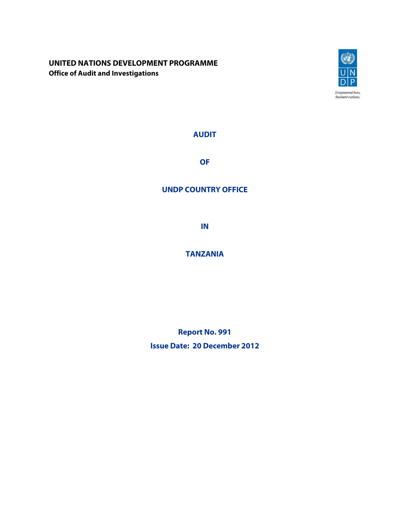## **UNITED NATIONS DEVELOPMENT PROGRAMME Office of Audit and Investigations**



**AUDIT** 

**OF** 

## **UNDP COUNTRY OFFICE**

**IN** 

# **TANZANIA**

**Report No. 991 Issue Date: 20 December 2012**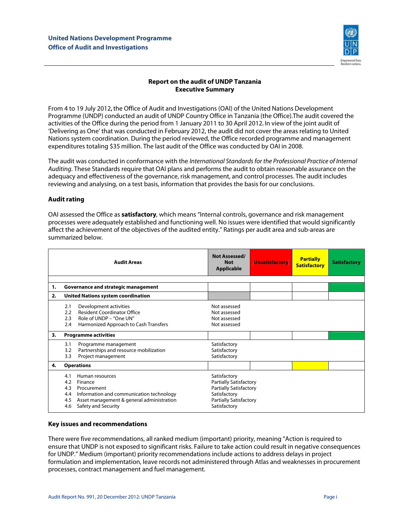

### **Report on the audit of UNDP Tanzania Executive Summary**

From 4 to 19 July 2012**,** the Office of Audit and Investigations (OAI) of the United Nations Development Programme (UNDP) conducted an audit of UNDP Country Office in Tanzania (the Office).The audit covered the activities of the Office during the period from 1 January 2011 to 30 April 2012**.** In view of the joint audit of 'Delivering as One' that was conducted in February 2012, the audit did not cover the areas relating to United Nations system coordination. During the period reviewed, the Office recorded programme and management expenditures totaling \$35 million. The last audit of the Office was conducted by OAI in 2008.

The audit was conducted in conformance with the International Standards for the Professional Practice of Internal Auditing. These Standards require that OAI plans and performs the audit to obtain reasonable assurance on the adequacy and effectiveness of the governance, risk management, and control processes. The audit includes reviewing and analysing, on a test basis, information that provides the basis for our conclusions.

#### **Audit rating**

OAI assessed the Office as **satisfactory**, which means "Internal controls, governance and risk management processes were adequately established and functioning well. No issues were identified that would significantly affect the achievement of the objectives of the audited entity." Ratings per audit area and sub-areas are summarized below.

|    | <b>Audit Areas</b>                                                                                                                                                                                  | Not Assessed/<br><b>Not</b><br><b>Applicable</b>                                                                                                | <b>Unsatisfactory</b> | <b>Partially</b><br><b>Satisfactory</b> | <b>Satisfactory</b> |
|----|-----------------------------------------------------------------------------------------------------------------------------------------------------------------------------------------------------|-------------------------------------------------------------------------------------------------------------------------------------------------|-----------------------|-----------------------------------------|---------------------|
| 1. | Governance and strategic management                                                                                                                                                                 |                                                                                                                                                 |                       |                                         |                     |
| 2. | <b>United Nations system coordination</b>                                                                                                                                                           |                                                                                                                                                 |                       |                                         |                     |
|    | Development activities<br>2.1<br><b>Resident Coordinator Office</b><br>2.2<br>2.3<br>Role of UNDP - "One UN"<br>Harmonized Approach to Cash Transfers<br>2.4                                        | Not assessed<br>Not assessed<br>Not assessed<br>Not assessed                                                                                    |                       |                                         |                     |
| 3. | <b>Programme activities</b>                                                                                                                                                                         |                                                                                                                                                 |                       |                                         |                     |
|    | Programme management<br>3.1<br>Partnerships and resource mobilization<br>3.2<br>Project management<br>3.3                                                                                           | Satisfactory<br>Satisfactory<br>Satisfactory                                                                                                    |                       |                                         |                     |
| 4. | <b>Operations</b>                                                                                                                                                                                   |                                                                                                                                                 |                       |                                         |                     |
|    | Human resources<br>4.1<br>4.2<br>Finance<br>4.3<br>Procurement<br>Information and communication technology<br>4.4<br>Asset management & general administration<br>4.5<br>Safety and Security<br>4.6 | Satisfactory<br><b>Partially Satisfactory</b><br><b>Partially Satisfactory</b><br>Satisfactory<br><b>Partially Satisfactory</b><br>Satisfactory |                       |                                         |                     |

#### **Key issues and recommendations**

There were five recommendations, all ranked medium (important) priority, meaning "Action is required to ensure that UNDP is not exposed to significant risks. Failure to take action could result in negative consequences for UNDP." Medium (important) priority recommendations include actions to address delays in project formulation and implementation, leave records not administered through Atlas and weaknesses in procurement processes, contract management and fuel management.